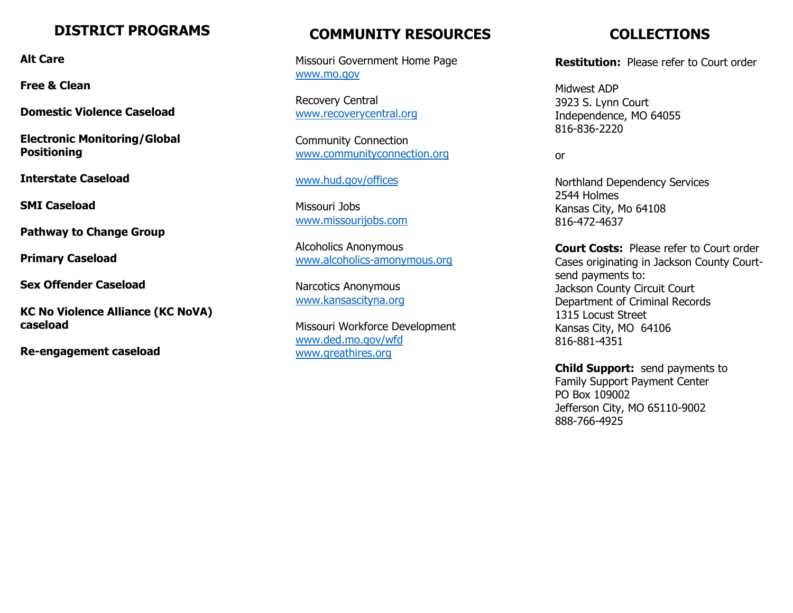#### **DISTRICT PROGRAMS**

**Alt Care**

**Free & Clean**

**Domestic Violence Caseload**

**Electronic Monitoring/Global Positioning**

**Interstate Caseload**

**SMI Caseload**

**Pathway to Change Group**

**Primary Caseload**

**Sex Offender Caseload**

**KC No Violence Alliance (KC NoVA) caseload**

**Re-engagement caseload**

### **COMMUNITY RESOURCES**

Missouri Government Home Page [www.mo.gov](http://www.mo.gov/)

Recovery Central [www.recoverycentral.org](http://www.recoverycentral.org/)

Community Connection [www.communityconnection.org](http://www.communityconnection.org/)

[www.hud.gov/offices](http://www.hud.gov/offices)

Missouri Jobs [www.missourijobs.com](http://www.missourijobs.com/)

Alcoholics Anonymous [www.alcoholics-amonymous.org](http://www.alcoholics-amonymous.org/)

Narcotics Anonymous [www.kansascityna.org](http://www.kansascityna.org/)

Missouri Workforce Development [www.ded.mo.gov/wfd](http://www.ded.mo.gov/wfd) [www.greathires.org](http://www.greathires.org/)

## **COLLECTIONS**

**Restitution:** Please refer to Court order

Midwest ADP 3923 S. Lynn Court Independence, MO 64055 816-836-2220

or

Northland Dependency Services 2544 Holmes Kansas City, Mo 64108 816-472-4637

**Court Costs:** Please refer to Court order Cases originating in Jackson County Courtsend payments to: Jackson County Circuit Court Department of Criminal Records 1315 Locust Street Kansas City, MO 64106 816-881-4351

**Child Support:** send payments to Family Support Payment Center PO Box 109002 Jefferson City, MO 65110-9002 888-766-4925